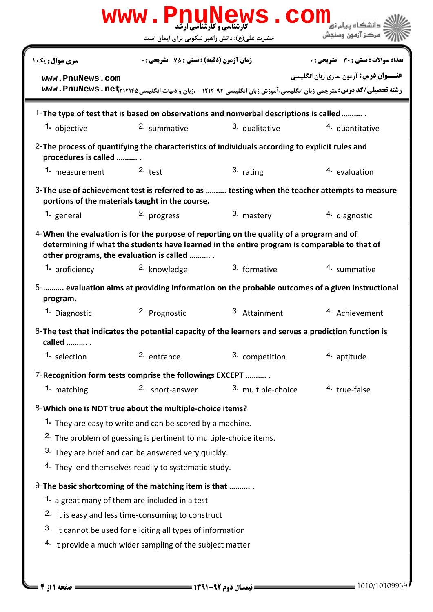| www.PnuNews.com                                                                                                                                                                                                                      |                                                                                                                |                    |                                              |  |  |  |
|--------------------------------------------------------------------------------------------------------------------------------------------------------------------------------------------------------------------------------------|----------------------------------------------------------------------------------------------------------------|--------------------|----------------------------------------------|--|--|--|
|                                                                                                                                                                                                                                      | حضرت علی(ع): دانش راهبر نیکویی برای ایمان است                                                                  |                    | مركز آزمون وسنجش                             |  |  |  |
| <b>سری سوال :</b> یک ۱                                                                                                                                                                                                               | <b>زمان آزمون (دقیقه) : تستی : 75 تشریحی : 0</b>                                                               |                    | <b>تعداد سوالات : تستي : 30 ٪ تشريحي : 0</b> |  |  |  |
| www.PnuNews.com                                                                                                                                                                                                                      | رشته تحصیلی/کد درس: مترجمی زبان انگلیسی، آموزش زبان انگلیسی ۱۲۱۲۰۹۲ - ،زبان وادبیات انگلیسی www. PnuNews . net |                    | <b>عنـــوان درس:</b> آزمون سازی زبان انگلیسی |  |  |  |
| 1-The type of test that is based on observations and nonverbal descriptions is called                                                                                                                                                |                                                                                                                |                    |                                              |  |  |  |
| 1. objective                                                                                                                                                                                                                         | 2. summative                                                                                                   | 3. qualitative     | 4. quantitative                              |  |  |  |
| 2-The process of quantifying the characteristics of individuals according to explicit rules and<br>procedures is called                                                                                                              |                                                                                                                |                    |                                              |  |  |  |
| 1. measurement 2. test                                                                                                                                                                                                               |                                                                                                                | 3. rating          | 4. evaluation                                |  |  |  |
| 3- The use of achievement test is referred to as  testing when the teacher attempts to measure<br>portions of the materials taught in the course.                                                                                    |                                                                                                                |                    |                                              |  |  |  |
| 1. general                                                                                                                                                                                                                           | 2. progress                                                                                                    | 3. mastery         | 4. diagnostic                                |  |  |  |
| 4-When the evaluation is for the purpose of reporting on the quality of a program and of<br>determining if what the students have learned in the entire program is comparable to that of<br>other programs, the evaluation is called |                                                                                                                |                    |                                              |  |  |  |
| 1. proficiency                                                                                                                                                                                                                       | <sup>2.</sup> knowledge                                                                                        | 3. formative       | 4. summative                                 |  |  |  |
| 5- evaluation aims at providing information on the probable outcomes of a given instructional<br>program.                                                                                                                            |                                                                                                                |                    |                                              |  |  |  |
| 1. Diagnostic                                                                                                                                                                                                                        | 2. Prognostic                                                                                                  | 3. Attainment      | <sup>4.</sup> Achievement                    |  |  |  |
| 6-The test that indicates the potential capacity of the learners and serves a prediction function is<br>called  .                                                                                                                    |                                                                                                                |                    |                                              |  |  |  |
| 1. selection                                                                                                                                                                                                                         | 2. entrance                                                                                                    | 3. competition     | <sup>4</sup> aptitude                        |  |  |  |
| 7-Recognition form tests comprise the followings EXCEPT                                                                                                                                                                              |                                                                                                                |                    |                                              |  |  |  |
| 1. matching                                                                                                                                                                                                                          | 2. short-answer                                                                                                | 3. multiple-choice | 4. true-false                                |  |  |  |
| 8-Which one is NOT true about the multiple-choice items?                                                                                                                                                                             |                                                                                                                |                    |                                              |  |  |  |
| 1. They are easy to write and can be scored by a machine.                                                                                                                                                                            |                                                                                                                |                    |                                              |  |  |  |
| <sup>2.</sup> The problem of guessing is pertinent to multiple-choice items.                                                                                                                                                         |                                                                                                                |                    |                                              |  |  |  |
| 3. They are brief and can be answered very quickly.                                                                                                                                                                                  |                                                                                                                |                    |                                              |  |  |  |
|                                                                                                                                                                                                                                      | 4. They lend themselves readily to systematic study.                                                           |                    |                                              |  |  |  |
| 9-The basic shortcoming of the matching item is that                                                                                                                                                                                 |                                                                                                                |                    |                                              |  |  |  |
| 1. a great many of them are included in a test                                                                                                                                                                                       |                                                                                                                |                    |                                              |  |  |  |
| 2. it is easy and less time-consuming to construct                                                                                                                                                                                   |                                                                                                                |                    |                                              |  |  |  |
| 3. it cannot be used for eliciting all types of information                                                                                                                                                                          |                                                                                                                |                    |                                              |  |  |  |
| 4. it provide a much wider sampling of the subject matter                                                                                                                                                                            |                                                                                                                |                    |                                              |  |  |  |
|                                                                                                                                                                                                                                      |                                                                                                                |                    |                                              |  |  |  |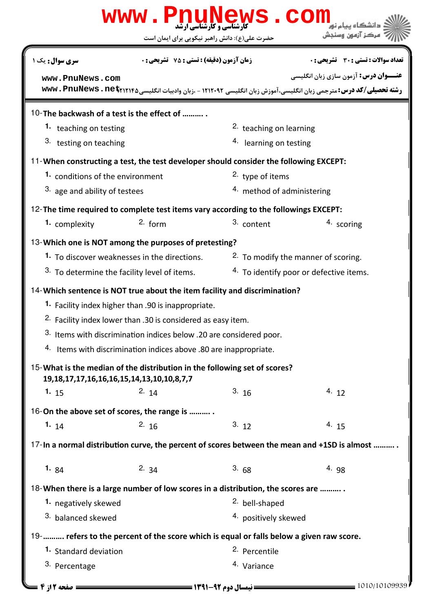|                                                                                                                                      | www.PnuNews.con                                                                                                                               |                           | مركز آزمون وسنجش                                                                                               |  |  |
|--------------------------------------------------------------------------------------------------------------------------------------|-----------------------------------------------------------------------------------------------------------------------------------------------|---------------------------|----------------------------------------------------------------------------------------------------------------|--|--|
|                                                                                                                                      | حضرت علی(ع): دانش راهبر نیکویی برای ایمان است                                                                                                 |                           |                                                                                                                |  |  |
| <b>سری سوال :</b> یک ۱                                                                                                               | <b>زمان آزمون (دقیقه) : تستی : 75 ٪ تشریحی : 0</b>                                                                                            |                           | <b>تعداد سوالات : تستي : 30 ٪ تشريحي : 0</b>                                                                   |  |  |
| www.PnuNews.com                                                                                                                      |                                                                                                                                               |                           | <b>عنـــوان درس:</b> آزمون سازی زبان انگلیسی                                                                   |  |  |
|                                                                                                                                      |                                                                                                                                               |                           | رشته تحصیلی/کد درس: مترجمی زبان انگلیسی، آموزش زبان انگلیسی ۱۲۱۲۰۹۲ - ،زبان وادبیات انگلیسی www. PnuNews . net |  |  |
| 10-The backwash of a test is the effect of                                                                                           |                                                                                                                                               |                           |                                                                                                                |  |  |
| 1. teaching on testing                                                                                                               |                                                                                                                                               | 2. teaching on learning   |                                                                                                                |  |  |
| 3. testing on teaching                                                                                                               |                                                                                                                                               | 4. learning on testing    |                                                                                                                |  |  |
|                                                                                                                                      |                                                                                                                                               |                           |                                                                                                                |  |  |
|                                                                                                                                      | 11-When constructing a test, the test developer should consider the following EXCEPT:<br>1. conditions of the environment<br>2. type of items |                           |                                                                                                                |  |  |
| 3. age and ability of testees                                                                                                        |                                                                                                                                               |                           | 4. method of administering                                                                                     |  |  |
| 12-The time required to complete test items vary according to the followings EXCEPT:                                                 |                                                                                                                                               |                           |                                                                                                                |  |  |
| 1. complexity                                                                                                                        | $2.$ form                                                                                                                                     | 3. content                | 4. scoring                                                                                                     |  |  |
|                                                                                                                                      |                                                                                                                                               |                           |                                                                                                                |  |  |
| 13-Which one is NOT among the purposes of pretesting?                                                                                |                                                                                                                                               |                           |                                                                                                                |  |  |
| 1. To discover weaknesses in the directions.                                                                                         |                                                                                                                                               |                           | <sup>2</sup> To modify the manner of scoring.                                                                  |  |  |
| <sup>3.</sup> To determine the facility level of items.                                                                              |                                                                                                                                               |                           | 4. To identify poor or defective items.                                                                        |  |  |
| 14- Which sentence is NOT true about the item facility and discrimination?                                                           |                                                                                                                                               |                           |                                                                                                                |  |  |
|                                                                                                                                      | 1. Facility index higher than .90 is inappropriate.                                                                                           |                           |                                                                                                                |  |  |
|                                                                                                                                      | <sup>2.</sup> Facility index lower than .30 is considered as easy item.                                                                       |                           |                                                                                                                |  |  |
|                                                                                                                                      | 3. Items with discrimination indices below .20 are considered poor.                                                                           |                           |                                                                                                                |  |  |
|                                                                                                                                      | 4. Items with discrimination indices above .80 are inappropriate.                                                                             |                           |                                                                                                                |  |  |
| 15-What is the median of the distribution in the following set of scores?<br>19, 18, 17, 17, 16, 16, 16, 15, 14, 13, 10, 10, 8, 7, 7 |                                                                                                                                               |                           |                                                                                                                |  |  |
| 1. $15$                                                                                                                              | 2.14                                                                                                                                          | 3.16                      | 4.12                                                                                                           |  |  |
| 16-On the above set of scores, the range is                                                                                          |                                                                                                                                               |                           |                                                                                                                |  |  |
| 1. $14$                                                                                                                              | 2.16                                                                                                                                          | 3.12                      | 4.15                                                                                                           |  |  |
|                                                                                                                                      |                                                                                                                                               |                           | 17-In a normal distribution curve, the percent of scores between the mean and +1SD is almost                   |  |  |
| 1. $84$                                                                                                                              | 2. $34$                                                                                                                                       | 3.68                      | 4.98                                                                                                           |  |  |
| 18-When there is a large number of low scores in a distribution, the scores are                                                      |                                                                                                                                               |                           |                                                                                                                |  |  |
| 1. negatively skewed                                                                                                                 |                                                                                                                                               | <sup>2.</sup> bell-shaped |                                                                                                                |  |  |
| 3. balanced skewed                                                                                                                   |                                                                                                                                               |                           | 4. positively skewed                                                                                           |  |  |
| 19-   refers to the percent of the score which is equal or falls below a given raw score.                                            |                                                                                                                                               |                           |                                                                                                                |  |  |
| 1. Standard deviation                                                                                                                |                                                                                                                                               | <sup>2.</sup> Percentile  |                                                                                                                |  |  |
| 3. Percentage                                                                                                                        |                                                                                                                                               | 4. Variance               |                                                                                                                |  |  |
| <b>: صفحه 12 ; 4 =</b>                                                                                                               | <b>ـــــــــــــــ نیمسال دوم ۹۲-۱۳۹۱ ــــــــــــــــ</b>                                                                                    |                           | $= 1010/10109939$                                                                                              |  |  |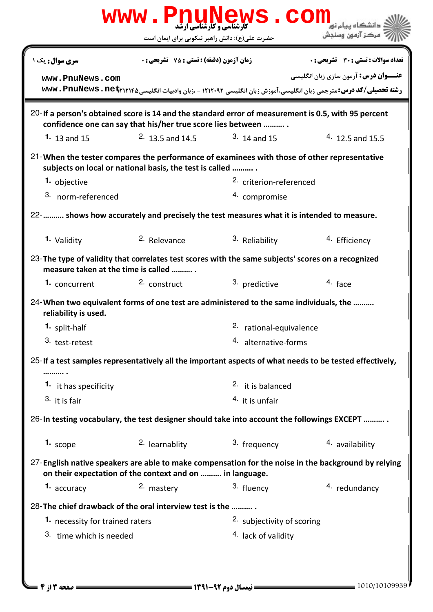| <b>www.PnuNews.com</b><br>دانشگاه بیام نو <mark>.</mark>                                                                                                            |                                                    |                                    |                                                                                                                                                                |  |  |  |
|---------------------------------------------------------------------------------------------------------------------------------------------------------------------|----------------------------------------------------|------------------------------------|----------------------------------------------------------------------------------------------------------------------------------------------------------------|--|--|--|
|                                                                                                                                                                     | حضرت علی(ع): دانش راهبر نیکویی برای ایمان است      |                                    | مركز آزمون وسنجش                                                                                                                                               |  |  |  |
| <b>سری سوال :</b> یک ۱                                                                                                                                              | <b>زمان آزمون (دقیقه) : تستی : 75 ٪ تشریحی : 0</b> |                                    | <b>تعداد سوالات : تستی : 30 ٪ تشریحی : 0</b>                                                                                                                   |  |  |  |
| www.PnuNews.com                                                                                                                                                     |                                                    |                                    | <b>عنـــوان درس:</b> آزمون سازی زبان انگلیسی<br>رشته تحصیلی/کد درس: مترجمی زبان انگلیسی، آموزش زبان انگلیسی ۱۲۱۲۰۹۲ - ،زبان وادبیات انگلیسی www. PnuNews . net |  |  |  |
| 20- If a person's obtained score is 14 and the standard error of measurement is 0.5, with 95 percent<br>confidence one can say that his/her true score lies between |                                                    |                                    |                                                                                                                                                                |  |  |  |
| 1. 13 and 15                                                                                                                                                        | <sup>2.</sup> 13.5 and 14.5                        | $3.14$ and 15                      | $4.12.5$ and 15.5                                                                                                                                              |  |  |  |
| 21-When the tester compares the performance of examinees with those of other representative<br>subjects on local or national basis, the test is called              |                                                    |                                    |                                                                                                                                                                |  |  |  |
| 1. objective                                                                                                                                                        |                                                    | <sup>2.</sup> criterion-referenced |                                                                                                                                                                |  |  |  |
| 3. norm-referenced                                                                                                                                                  |                                                    | 4. compromise                      |                                                                                                                                                                |  |  |  |
| 22-   shows how accurately and precisely the test measures what it is intended to measure.                                                                          |                                                    |                                    |                                                                                                                                                                |  |  |  |
| 1. Validity                                                                                                                                                         | 2. Relevance                                       | 3. Reliability                     | 4. Efficiency                                                                                                                                                  |  |  |  |
| 23-The type of validity that correlates test scores with the same subjects' scores on a recognized<br>measure taken at the time is called                           |                                                    |                                    |                                                                                                                                                                |  |  |  |
| <b>1.</b> concurrent                                                                                                                                                | 2. construct                                       | 3. predictive                      | 4. face                                                                                                                                                        |  |  |  |
| 24-When two equivalent forms of one test are administered to the same individuals, the<br>reliability is used.                                                      |                                                    |                                    |                                                                                                                                                                |  |  |  |
| 1. split-half                                                                                                                                                       |                                                    | 2. rational-equivalence            |                                                                                                                                                                |  |  |  |
| 3. test-retest                                                                                                                                                      |                                                    | 4. alternative-forms               |                                                                                                                                                                |  |  |  |
| 25-If a test samples representatively all the important aspects of what needs to be tested effectively,                                                             |                                                    |                                    |                                                                                                                                                                |  |  |  |
| 1. it has specificity                                                                                                                                               |                                                    | $2.$ it is balanced                |                                                                                                                                                                |  |  |  |
| 3. it is fair                                                                                                                                                       |                                                    | 4. it is unfair                    |                                                                                                                                                                |  |  |  |
| 26-In testing vocabulary, the test designer should take into account the followings EXCEPT                                                                          |                                                    |                                    |                                                                                                                                                                |  |  |  |
| 1. scope                                                                                                                                                            | <sup>2.</sup> learnablity                          | 3. frequency                       | 4. availability                                                                                                                                                |  |  |  |
| 27-English native speakers are able to make compensation for the noise in the background by relying<br>on their expectation of the context and on  in language.     |                                                    |                                    |                                                                                                                                                                |  |  |  |
| 1. accuracy                                                                                                                                                         | 2. mastery                                         | 3. fluency                         | 4. redundancy                                                                                                                                                  |  |  |  |
| 28-The chief drawback of the oral interview test is the                                                                                                             |                                                    |                                    |                                                                                                                                                                |  |  |  |
|                                                                                                                                                                     | 1. necessity for trained raters                    |                                    | 2. subjectivity of scoring                                                                                                                                     |  |  |  |
| 3. time which is needed                                                                                                                                             |                                                    | 4. lack of validity                |                                                                                                                                                                |  |  |  |
|                                                                                                                                                                     |                                                    |                                    |                                                                                                                                                                |  |  |  |